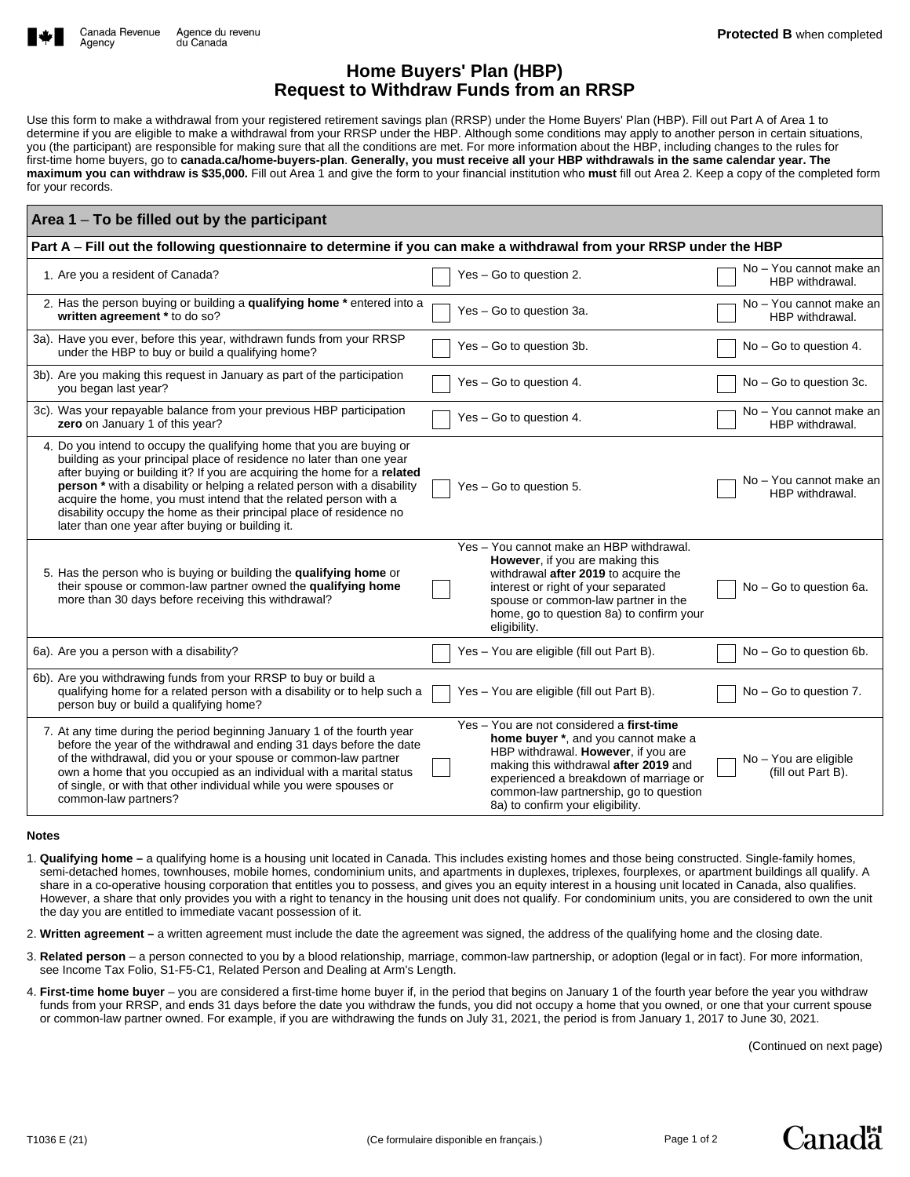

## **Home Buyers' Plan (HBP) Request to Withdraw Funds from an RRSP**

Use this form to make a withdrawal from your registered retirement savings plan (RRSP) under the Home Buyers' Plan (HBP). Fill out Part A of Area 1 to determine if you are eligible to make a withdrawal from your RRSP under the HBP. Although some conditions may apply to another person in certain situations, you (the participant) are responsible for making sure that all the conditions are met. For more information about the HBP, including changes to the rules for first-time home buyers, go to **canada.ca/home-buyers-plan**. **Generally, you must receive all your HBP withdrawals in the same calendar year. The maximum you can withdraw is \$35,000.** Fill out Area 1 and give the form to your financial institution who **must** fill out Area 2. Keep a copy of the completed form for your records.

| Area 1 – To be filled out by the participant                                                                                                                                                                                                                                                                                                                                                                                                                                                                    |                                                                                                                                                                                                                                                                                          |                                             |  |  |
|-----------------------------------------------------------------------------------------------------------------------------------------------------------------------------------------------------------------------------------------------------------------------------------------------------------------------------------------------------------------------------------------------------------------------------------------------------------------------------------------------------------------|------------------------------------------------------------------------------------------------------------------------------------------------------------------------------------------------------------------------------------------------------------------------------------------|---------------------------------------------|--|--|
| Part A - Fill out the following questionnaire to determine if you can make a withdrawal from your RRSP under the HBP                                                                                                                                                                                                                                                                                                                                                                                            |                                                                                                                                                                                                                                                                                          |                                             |  |  |
| 1. Are you a resident of Canada?                                                                                                                                                                                                                                                                                                                                                                                                                                                                                | Yes - Go to question 2.                                                                                                                                                                                                                                                                  | No - You cannot make an<br>HBP withdrawal.  |  |  |
| 2. Has the person buying or building a qualifying home * entered into a<br>written agreement * to do so?                                                                                                                                                                                                                                                                                                                                                                                                        | Yes - Go to question 3a.                                                                                                                                                                                                                                                                 | No - You cannot make an<br>HBP withdrawal.  |  |  |
| 3a). Have you ever, before this year, withdrawn funds from your RRSP<br>under the HBP to buy or build a qualifying home?                                                                                                                                                                                                                                                                                                                                                                                        | Yes - Go to question 3b.                                                                                                                                                                                                                                                                 | No - Go to question 4.                      |  |  |
| 3b). Are you making this request in January as part of the participation<br>you began last year?                                                                                                                                                                                                                                                                                                                                                                                                                | Yes - Go to question 4.                                                                                                                                                                                                                                                                  | No - Go to question 3c.                     |  |  |
| 3c). Was your repayable balance from your previous HBP participation<br>zero on January 1 of this year?                                                                                                                                                                                                                                                                                                                                                                                                         | Yes - Go to question 4.                                                                                                                                                                                                                                                                  | No - You cannot make an<br>HBP withdrawal.  |  |  |
| 4. Do you intend to occupy the qualifying home that you are buying or<br>building as your principal place of residence no later than one year<br>after buying or building it? If you are acquiring the home for a related<br>person <sup>*</sup> with a disability or helping a related person with a disability<br>acquire the home, you must intend that the related person with a<br>disability occupy the home as their principal place of residence no<br>later than one year after buying or building it. | Yes - Go to question 5.                                                                                                                                                                                                                                                                  | No - You cannot make an<br>HBP withdrawal.  |  |  |
| 5. Has the person who is buying or building the qualifying home or<br>their spouse or common-law partner owned the qualifying home<br>more than 30 days before receiving this withdrawal?                                                                                                                                                                                                                                                                                                                       | Yes - You cannot make an HBP withdrawal.<br>However, if you are making this<br>withdrawal after 2019 to acquire the<br>interest or right of your separated<br>spouse or common-law partner in the<br>home, go to question 8a) to confirm your<br>eligibility.                            | No - Go to question 6a.                     |  |  |
| 6a). Are you a person with a disability?                                                                                                                                                                                                                                                                                                                                                                                                                                                                        | Yes - You are eligible (fill out Part B).                                                                                                                                                                                                                                                | No - Go to question 6b.                     |  |  |
| 6b). Are you withdrawing funds from your RRSP to buy or build a<br>qualifying home for a related person with a disability or to help such a<br>person buy or build a qualifying home?                                                                                                                                                                                                                                                                                                                           | Yes - You are eligible (fill out Part B).                                                                                                                                                                                                                                                | No - Go to question 7.                      |  |  |
| 7. At any time during the period beginning January 1 of the fourth year<br>before the year of the withdrawal and ending 31 days before the date<br>of the withdrawal, did you or your spouse or common-law partner<br>own a home that you occupied as an individual with a marital status<br>of single, or with that other individual while you were spouses or<br>common-law partners?                                                                                                                         | Yes - You are not considered a first-time<br>home buyer *, and you cannot make a<br>HBP withdrawal. However, if you are<br>making this withdrawal after 2019 and<br>experienced a breakdown of marriage or<br>common-law partnership, go to question<br>8a) to confirm your eligibility. | No - You are eligible<br>(fill out Part B). |  |  |

## **Notes**

- 1. **Qualifying home –** a qualifying home is a housing unit located in Canada. This includes existing homes and those being constructed. Single-family homes, semi-detached homes, townhouses, mobile homes, condominium units, and apartments in duplexes, triplexes, fourplexes, or apartment buildings all qualify. A share in a co-operative housing corporation that entitles you to possess, and gives you an equity interest in a housing unit located in Canada, also qualifies. However, a share that only provides you with a right to tenancy in the housing unit does not qualify. For condominium units, you are considered to own the unit the day you are entitled to immediate vacant possession of it.
- 2. **Written agreement** a written agreement must include the date the agreement was signed, the address of the qualifying home and the closing date.
- 3. **Related person** a person connected to you by a blood relationship, marriage, common-law partnership, or adoption (legal or in fact). For more information, see Income Tax Folio, S1-F5-C1, Related Person and Dealing at Arm's Length.
- 4. **First-time home buyer** you are considered a first-time home buyer if, in the period that begins on January 1 of the fourth year before the year you withdraw funds from your RRSP, and ends 31 days before the date you withdraw the funds, you did not occupy a home that you owned, or one that your current spouse or common-law partner owned. For example, if you are withdrawing the funds on July 31, 2021, the period is from January 1, 2017 to June 30, 2021.

(Continued on next page)